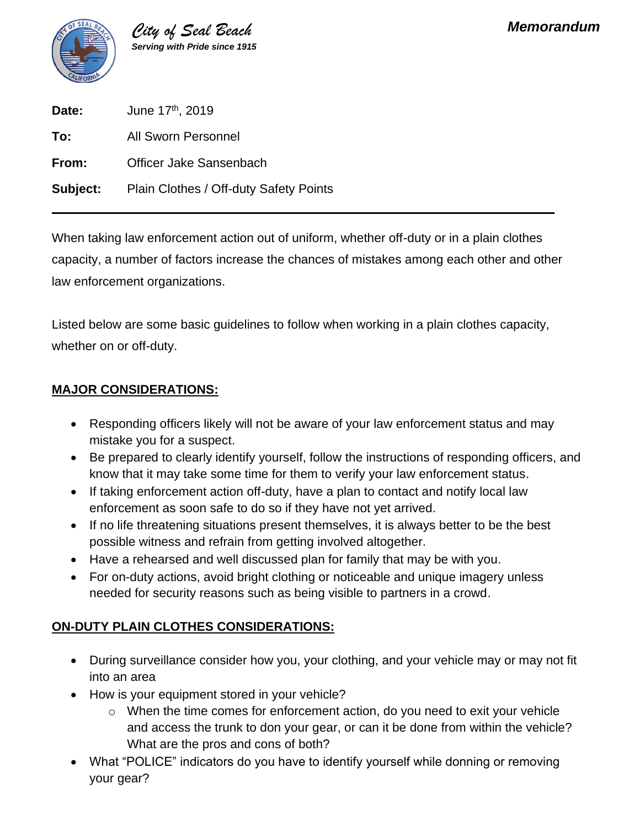

| Date:    | June 17th, 2019                        |
|----------|----------------------------------------|
| To:      | <b>All Sworn Personnel</b>             |
| From:    | Officer Jake Sansenbach                |
| Subject: | Plain Clothes / Off-duty Safety Points |

When taking law enforcement action out of uniform, whether off-duty or in a plain clothes capacity, a number of factors increase the chances of mistakes among each other and other law enforcement organizations.

Listed below are some basic guidelines to follow when working in a plain clothes capacity, whether on or off-duty.

### **MAJOR CONSIDERATIONS:**

- Responding officers likely will not be aware of your law enforcement status and may mistake you for a suspect.
- Be prepared to clearly identify yourself, follow the instructions of responding officers, and know that it may take some time for them to verify your law enforcement status.
- If taking enforcement action off-duty, have a plan to contact and notify local law enforcement as soon safe to do so if they have not yet arrived.
- If no life threatening situations present themselves, it is always better to be the best possible witness and refrain from getting involved altogether.
- Have a rehearsed and well discussed plan for family that may be with you.
- For on-duty actions, avoid bright clothing or noticeable and unique imagery unless needed for security reasons such as being visible to partners in a crowd.

# **ON-DUTY PLAIN CLOTHES CONSIDERATIONS:**

- During surveillance consider how you, your clothing, and your vehicle may or may not fit into an area
- How is your equipment stored in your vehicle?
	- $\circ$  When the time comes for enforcement action, do you need to exit your vehicle and access the trunk to don your gear, or can it be done from within the vehicle? What are the pros and cons of both?
- What "POLICE" indicators do you have to identify yourself while donning or removing your gear?